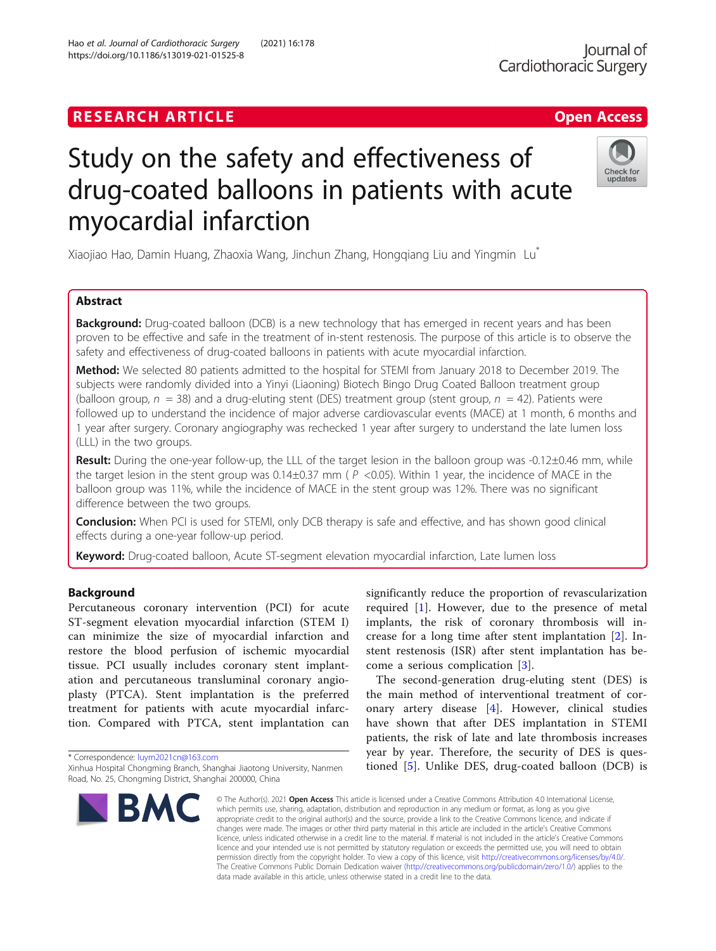## **RESEARCH ARTICLE Example 2018 12:00 Department 2018 12:00 Department 2018 12:00 Department 2018**

# Study on the safety and effectiveness of drug-coated balloons in patients with acute myocardial infarction

Xiaojiao Hao, Damin Huang, Zhaoxia Wang, Jinchun Zhang, Hongqiang Liu and Yingmin Lu\*

## Abstract

**Background:** Drug-coated balloon (DCB) is a new technology that has emerged in recent years and has been proven to be effective and safe in the treatment of in-stent restenosis. The purpose of this article is to observe the safety and effectiveness of drug-coated balloons in patients with acute myocardial infarction.

Method: We selected 80 patients admitted to the hospital for STEMI from January 2018 to December 2019. The subjects were randomly divided into a Yinyi (Liaoning) Biotech Bingo Drug Coated Balloon treatment group (balloon group,  $n = 38$ ) and a drug-eluting stent (DES) treatment group (stent group,  $n = 42$ ). Patients were followed up to understand the incidence of major adverse cardiovascular events (MACE) at 1 month, 6 months and 1 year after surgery. Coronary angiography was rechecked 1 year after surgery to understand the late lumen loss (LLL) in the two groups.

Result: During the one-year follow-up, the LLL of the target lesion in the balloon group was -0.12±0.46 mm, while the target lesion in the stent group was  $0.14\pm0.37$  mm ( $P$  <0.05). Within 1 year, the incidence of MACE in the balloon group was 11%, while the incidence of MACE in the stent group was 12%. There was no significant difference between the two groups.

**Conclusion:** When PCI is used for STEMI, only DCB therapy is safe and effective, and has shown good clinical effects during a one-year follow-up period.

Keyword: Drug-coated balloon, Acute ST-segment elevation myocardial infarction, Late lumen loss

## Background

Percutaneous coronary intervention (PCI) for acute ST-segment elevation myocardial infarction (STEM I) can minimize the size of myocardial infarction and restore the blood perfusion of ischemic myocardial tissue. PCI usually includes coronary stent implantation and percutaneous transluminal coronary angioplasty (PTCA). Stent implantation is the preferred treatment for patients with acute myocardial infarction. Compared with PTCA, stent implantation can

\* Correspondence: [luym2021cn@163.com](mailto:luym2021cn@163.com)

**BM** 

significantly reduce the proportion of revascularization required  $[1]$  $[1]$ . However, due to the presence of metal implants, the risk of coronary thrombosis will increase for a long time after stent implantation [[2\]](#page-5-0). Instent restenosis (ISR) after stent implantation has become a serious complication [[3](#page-6-0)].

The second-generation drug-eluting stent (DES) is the main method of interventional treatment of coronary artery disease [[4\]](#page-6-0). However, clinical studies have shown that after DES implantation in STEMI patients, the risk of late and late thrombosis increases year by year. Therefore, the security of DES is questioned [[5\]](#page-6-0). Unlike DES, drug-coated balloon (DCB) is

© The Author(s), 2021 **Open Access** This article is licensed under a Creative Commons Attribution 4.0 International License, which permits use, sharing, adaptation, distribution and reproduction in any medium or format, as long as you give appropriate credit to the original author(s) and the source, provide a link to the Creative Commons licence, and indicate if changes were made. The images or other third party material in this article are included in the article's Creative Commons licence, unless indicated otherwise in a credit line to the material. If material is not included in the article's Creative Commons licence and your intended use is not permitted by statutory regulation or exceeds the permitted use, you will need to obtain permission directly from the copyright holder. To view a copy of this licence, visit [http://creativecommons.org/licenses/by/4.0/.](http://creativecommons.org/licenses/by/4.0/) The Creative Commons Public Domain Dedication waiver [\(http://creativecommons.org/publicdomain/zero/1.0/](http://creativecommons.org/publicdomain/zero/1.0/)) applies to the data made available in this article, unless otherwise stated in a credit line to the data.

Hao et al. Journal of Cardiothoracic Surgery (2021) 16:178 https://doi.org/10.1186/s13019-021-01525-8



Xinhua Hospital Chongming Branch, Shanghai Jiaotong University, Nanmen Road, No. 25, Chongming District, Shanghai 200000, China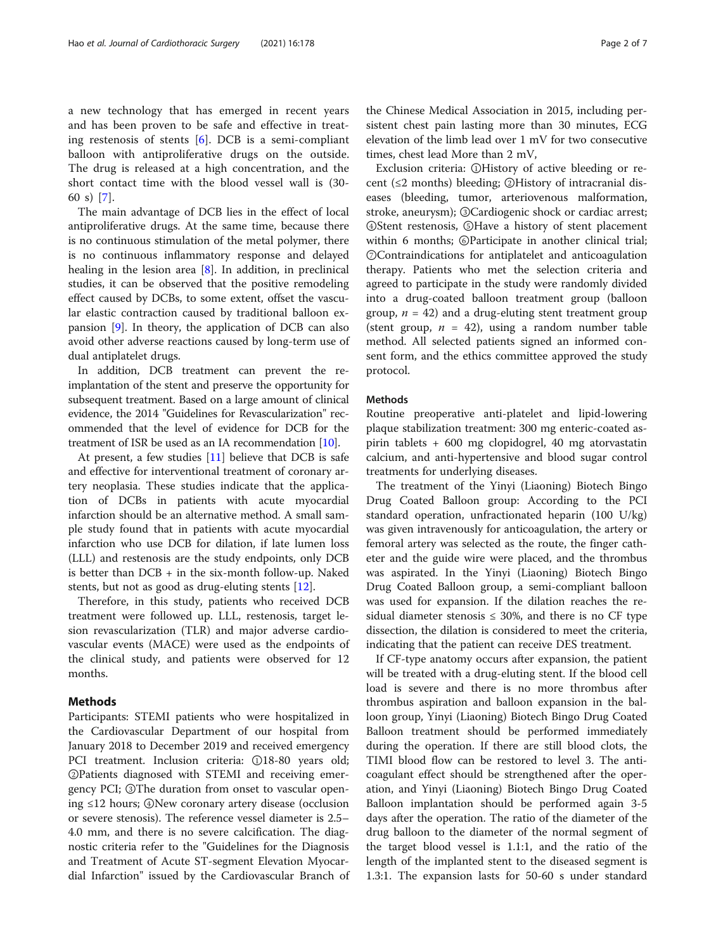a new technology that has emerged in recent years and has been proven to be safe and effective in treating restenosis of stents [\[6](#page-6-0)]. DCB is a semi-compliant balloon with antiproliferative drugs on the outside. The drug is released at a high concentration, and the short contact time with the blood vessel wall is (30- 60 s) [[7\]](#page-6-0).

The main advantage of DCB lies in the effect of local antiproliferative drugs. At the same time, because there is no continuous stimulation of the metal polymer, there is no continuous inflammatory response and delayed healing in the lesion area [\[8](#page-6-0)]. In addition, in preclinical studies, it can be observed that the positive remodeling effect caused by DCBs, to some extent, offset the vascular elastic contraction caused by traditional balloon expansion [[9\]](#page-6-0). In theory, the application of DCB can also avoid other adverse reactions caused by long-term use of dual antiplatelet drugs.

In addition, DCB treatment can prevent the reimplantation of the stent and preserve the opportunity for subsequent treatment. Based on a large amount of clinical evidence, the 2014 "Guidelines for Revascularization" recommended that the level of evidence for DCB for the treatment of ISR be used as an IA recommendation [\[10\]](#page-6-0).

At present, a few studies  $[11]$  $[11]$  $[11]$  believe that DCB is safe and effective for interventional treatment of coronary artery neoplasia. These studies indicate that the application of DCBs in patients with acute myocardial infarction should be an alternative method. A small sample study found that in patients with acute myocardial infarction who use DCB for dilation, if late lumen loss (LLL) and restenosis are the study endpoints, only DCB is better than  $DCB + in$  the six-month follow-up. Naked stents, but not as good as drug-eluting stents [\[12](#page-6-0)].

Therefore, in this study, patients who received DCB treatment were followed up. LLL, restenosis, target lesion revascularization (TLR) and major adverse cardiovascular events (MACE) were used as the endpoints of the clinical study, and patients were observed for 12 months.

## Methods

Participants: STEMI patients who were hospitalized in the Cardiovascular Department of our hospital from January 2018 to December 2019 and received emergency PCI treatment. Inclusion criteria: ①18-80 years old; ②Patients diagnosed with STEMI and receiving emergency PCI; ③The duration from onset to vascular opening ≤12 hours; ④New coronary artery disease (occlusion or severe stenosis). The reference vessel diameter is 2.5– 4.0 mm, and there is no severe calcification. The diagnostic criteria refer to the "Guidelines for the Diagnosis and Treatment of Acute ST-segment Elevation Myocardial Infarction" issued by the Cardiovascular Branch of the Chinese Medical Association in 2015, including persistent chest pain lasting more than 30 minutes, ECG elevation of the limb lead over 1 mV for two consecutive times, chest lead More than 2 mV,

Exclusion criteria: ①History of active bleeding or recent (≤2 months) bleeding; ②History of intracranial diseases (bleeding, tumor, arteriovenous malformation, stroke, aneurysm); ③Cardiogenic shock or cardiac arrest; ④Stent restenosis, ⑤Have a history of stent placement within 6 months; ©Participate in another clinical trial; ⑦Contraindications for antiplatelet and anticoagulation therapy. Patients who met the selection criteria and agreed to participate in the study were randomly divided into a drug-coated balloon treatment group (balloon group,  $n = 42$ ) and a drug-eluting stent treatment group (stent group,  $n = 42$ ), using a random number table method. All selected patients signed an informed consent form, and the ethics committee approved the study protocol.

## Methods

Routine preoperative anti-platelet and lipid-lowering plaque stabilization treatment: 300 mg enteric-coated aspirin tablets + 600 mg clopidogrel, 40 mg atorvastatin calcium, and anti-hypertensive and blood sugar control treatments for underlying diseases.

The treatment of the Yinyi (Liaoning) Biotech Bingo Drug Coated Balloon group: According to the PCI standard operation, unfractionated heparin (100 U/kg) was given intravenously for anticoagulation, the artery or femoral artery was selected as the route, the finger catheter and the guide wire were placed, and the thrombus was aspirated. In the Yinyi (Liaoning) Biotech Bingo Drug Coated Balloon group, a semi-compliant balloon was used for expansion. If the dilation reaches the residual diameter stenosis  $\leq$  30%, and there is no CF type dissection, the dilation is considered to meet the criteria, indicating that the patient can receive DES treatment.

If CF-type anatomy occurs after expansion, the patient will be treated with a drug-eluting stent. If the blood cell load is severe and there is no more thrombus after thrombus aspiration and balloon expansion in the balloon group, Yinyi (Liaoning) Biotech Bingo Drug Coated Balloon treatment should be performed immediately during the operation. If there are still blood clots, the TIMI blood flow can be restored to level 3. The anticoagulant effect should be strengthened after the operation, and Yinyi (Liaoning) Biotech Bingo Drug Coated Balloon implantation should be performed again 3-5 days after the operation. The ratio of the diameter of the drug balloon to the diameter of the normal segment of the target blood vessel is 1.1:1, and the ratio of the length of the implanted stent to the diseased segment is 1.3:1. The expansion lasts for 50-60 s under standard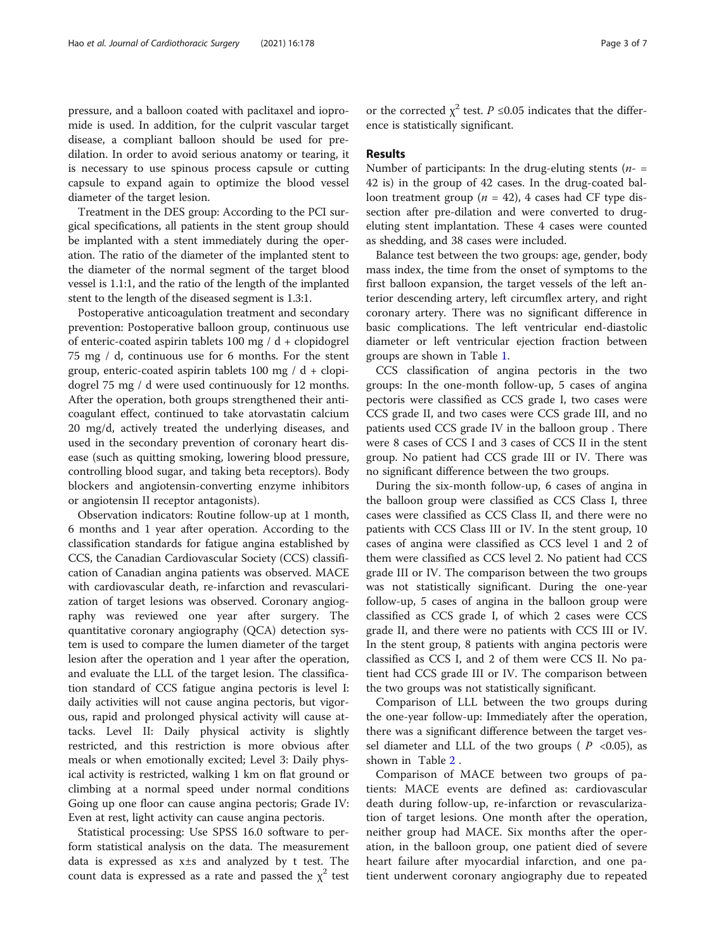pressure, and a balloon coated with paclitaxel and iopromide is used. In addition, for the culprit vascular target disease, a compliant balloon should be used for predilation. In order to avoid serious anatomy or tearing, it is necessary to use spinous process capsule or cutting capsule to expand again to optimize the blood vessel diameter of the target lesion.

Treatment in the DES group: According to the PCI surgical specifications, all patients in the stent group should be implanted with a stent immediately during the operation. The ratio of the diameter of the implanted stent to the diameter of the normal segment of the target blood vessel is 1.1:1, and the ratio of the length of the implanted stent to the length of the diseased segment is 1.3:1.

Postoperative anticoagulation treatment and secondary prevention: Postoperative balloon group, continuous use of enteric-coated aspirin tablets 100 mg /  $d +$  clopidogrel 75 mg / d, continuous use for 6 months. For the stent group, enteric-coated aspirin tablets 100 mg /  $d +$  clopidogrel 75 mg / d were used continuously for 12 months. After the operation, both groups strengthened their anticoagulant effect, continued to take atorvastatin calcium 20 mg/d, actively treated the underlying diseases, and used in the secondary prevention of coronary heart disease (such as quitting smoking, lowering blood pressure, controlling blood sugar, and taking beta receptors). Body blockers and angiotensin-converting enzyme inhibitors or angiotensin II receptor antagonists).

Observation indicators: Routine follow-up at 1 month, 6 months and 1 year after operation. According to the classification standards for fatigue angina established by CCS, the Canadian Cardiovascular Society (CCS) classification of Canadian angina patients was observed. MACE with cardiovascular death, re-infarction and revascularization of target lesions was observed. Coronary angiography was reviewed one year after surgery. The quantitative coronary angiography (QCA) detection system is used to compare the lumen diameter of the target lesion after the operation and 1 year after the operation, and evaluate the LLL of the target lesion. The classification standard of CCS fatigue angina pectoris is level I: daily activities will not cause angina pectoris, but vigorous, rapid and prolonged physical activity will cause attacks. Level II: Daily physical activity is slightly restricted, and this restriction is more obvious after meals or when emotionally excited; Level 3: Daily physical activity is restricted, walking 1 km on flat ground or climbing at a normal speed under normal conditions Going up one floor can cause angina pectoris; Grade IV: Even at rest, light activity can cause angina pectoris.

Statistical processing: Use SPSS 16.0 software to perform statistical analysis on the data. The measurement data is expressed as x±s and analyzed by t test. The count data is expressed as a rate and passed the  $\chi^2$  test

or the corrected  $\chi^2$  test. *P* ≤0.05 indicates that the difference is statistically significant.

### Results

Number of participants: In the drug-eluting stents ( $n-$  = 42 is) in the group of 42 cases. In the drug-coated balloon treatment group ( $n = 42$ ), 4 cases had CF type dissection after pre-dilation and were converted to drugeluting stent implantation. These 4 cases were counted as shedding, and 38 cases were included.

Balance test between the two groups: age, gender, body mass index, the time from the onset of symptoms to the first balloon expansion, the target vessels of the left anterior descending artery, left circumflex artery, and right coronary artery. There was no significant difference in basic complications. The left ventricular end-diastolic diameter or left ventricular ejection fraction between groups are shown in Table [1](#page-3-0).

CCS classification of angina pectoris in the two groups: In the one-month follow-up, 5 cases of angina pectoris were classified as CCS grade I, two cases were CCS grade II, and two cases were CCS grade III, and no patients used CCS grade IV in the balloon group . There were 8 cases of CCS I and 3 cases of CCS II in the stent group. No patient had CCS grade III or IV. There was no significant difference between the two groups.

During the six-month follow-up, 6 cases of angina in the balloon group were classified as CCS Class I, three cases were classified as CCS Class II, and there were no patients with CCS Class III or IV. In the stent group, 10 cases of angina were classified as CCS level 1 and 2 of them were classified as CCS level 2. No patient had CCS grade III or IV. The comparison between the two groups was not statistically significant. During the one-year follow-up, 5 cases of angina in the balloon group were classified as CCS grade I, of which 2 cases were CCS grade II, and there were no patients with CCS III or IV. In the stent group, 8 patients with angina pectoris were classified as CCS I, and 2 of them were CCS II. No patient had CCS grade III or IV. The comparison between the two groups was not statistically significant.

Comparison of LLL between the two groups during the one-year follow-up: Immediately after the operation, there was a significant difference between the target vessel diameter and LLL of the two groups ( $P < 0.05$ ), as shown in Table [2](#page-3-0) .

Comparison of MACE between two groups of patients: MACE events are defined as: cardiovascular death during follow-up, re-infarction or revascularization of target lesions. One month after the operation, neither group had MACE. Six months after the operation, in the balloon group, one patient died of severe heart failure after myocardial infarction, and one patient underwent coronary angiography due to repeated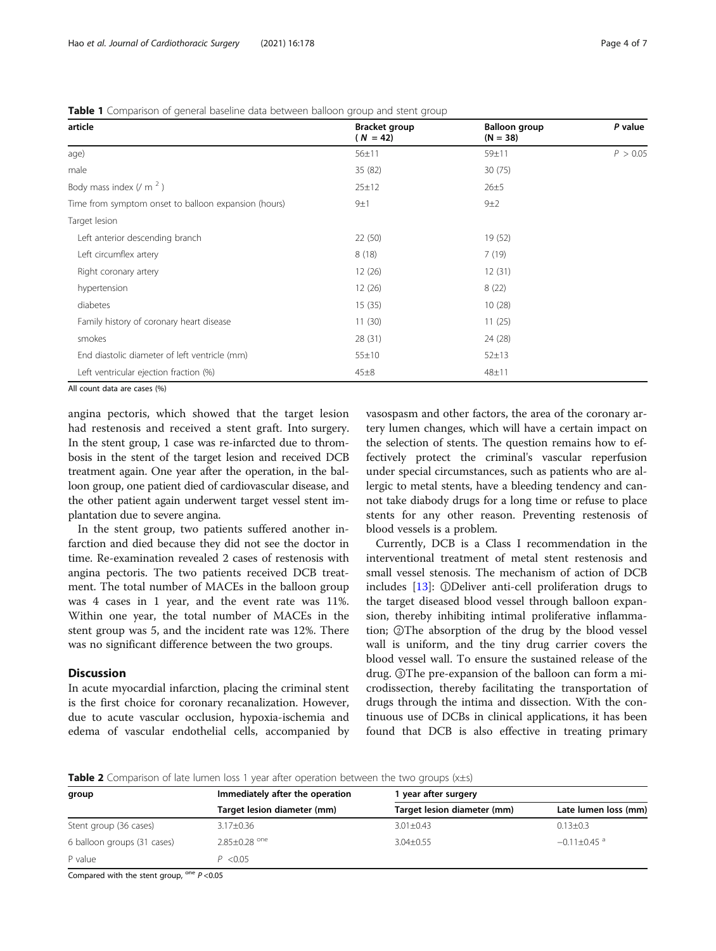<span id="page-3-0"></span>Table 1 Comparison of general baseline data between balloon group and stent group

| <b>Bracket group</b><br>$(N = 42)$ | <b>Balloon group</b><br>$(N = 38)$ | P value  |
|------------------------------------|------------------------------------|----------|
| $56 \pm 11$                        | 59±11                              | P > 0.05 |
| 35 (82)                            | 30(75)                             |          |
| 25±12                              | $26 + 5$                           |          |
| 9±1                                | $9+2$                              |          |
|                                    |                                    |          |
| 22 (50)                            | 19 (52)                            |          |
| 8(18)                              | 7(19)                              |          |
| 12(26)                             | 12(31)                             |          |
| 12(26)                             | 8(22)                              |          |
| 15(35)                             | 10(28)                             |          |
| 11(30)                             | 11(25)                             |          |
| 28 (31)                            | 24 (28)                            |          |
| $55 \pm 10$                        | $52 + 13$                          |          |
| $45\pm8$                           | 48±11                              |          |
|                                    |                                    |          |

All count data are cases (%)

angina pectoris, which showed that the target lesion had restenosis and received a stent graft. Into surgery. In the stent group, 1 case was re-infarcted due to thrombosis in the stent of the target lesion and received DCB treatment again. One year after the operation, in the balloon group, one patient died of cardiovascular disease, and the other patient again underwent target vessel stent implantation due to severe angina.

In the stent group, two patients suffered another infarction and died because they did not see the doctor in time. Re-examination revealed 2 cases of restenosis with angina pectoris. The two patients received DCB treatment. The total number of MACEs in the balloon group was 4 cases in 1 year, and the event rate was 11%. Within one year, the total number of MACEs in the stent group was 5, and the incident rate was 12%. There was no significant difference between the two groups.

## **Discussion**

In acute myocardial infarction, placing the criminal stent is the first choice for coronary recanalization. However, due to acute vascular occlusion, hypoxia-ischemia and edema of vascular endothelial cells, accompanied by vasospasm and other factors, the area of the coronary artery lumen changes, which will have a certain impact on the selection of stents. The question remains how to effectively protect the criminal's vascular reperfusion under special circumstances, such as patients who are allergic to metal stents, have a bleeding tendency and cannot take diabody drugs for a long time or refuse to place stents for any other reason. Preventing restenosis of blood vessels is a problem.

Currently, DCB is a Class I recommendation in the interventional treatment of metal stent restenosis and small vessel stenosis. The mechanism of action of DCB includes [\[13](#page-6-0)]: ①Deliver anti-cell proliferation drugs to the target diseased blood vessel through balloon expansion, thereby inhibiting intimal proliferative inflammation; ②The absorption of the drug by the blood vessel wall is uniform, and the tiny drug carrier covers the blood vessel wall. To ensure the sustained release of the drug. ③The pre-expansion of the balloon can form a microdissection, thereby facilitating the transportation of drugs through the intima and dissection. With the continuous use of DCBs in clinical applications, it has been found that DCB is also effective in treating primary

Table 2 Comparison of late lumen loss 1 year after operation between the two groups (x±s)

| group                       | Immediately after the operation<br>Target lesion diameter (mm) | I year after surgery        |                             |  |
|-----------------------------|----------------------------------------------------------------|-----------------------------|-----------------------------|--|
|                             |                                                                | Target lesion diameter (mm) | Late lumen loss (mm)        |  |
| Stent group (36 cases)      | $3.17 \pm 0.36$                                                | $3.01 \pm 0.43$             | $0.13 \pm 0.3$              |  |
| 6 balloon groups (31 cases) | $2.85 + 0.28$ <sup>one</sup>                                   | $3.04 + 0.55$               | $-0.11 + 0.45$ <sup>a</sup> |  |
| P value                     | P < 0.05                                                       |                             |                             |  |
|                             | $\sim$ $\sim$ $\sim$ $\sim$ $\sim$                             |                             |                             |  |

Compared with the stent group,  $^{\text{one}} P$  <0.05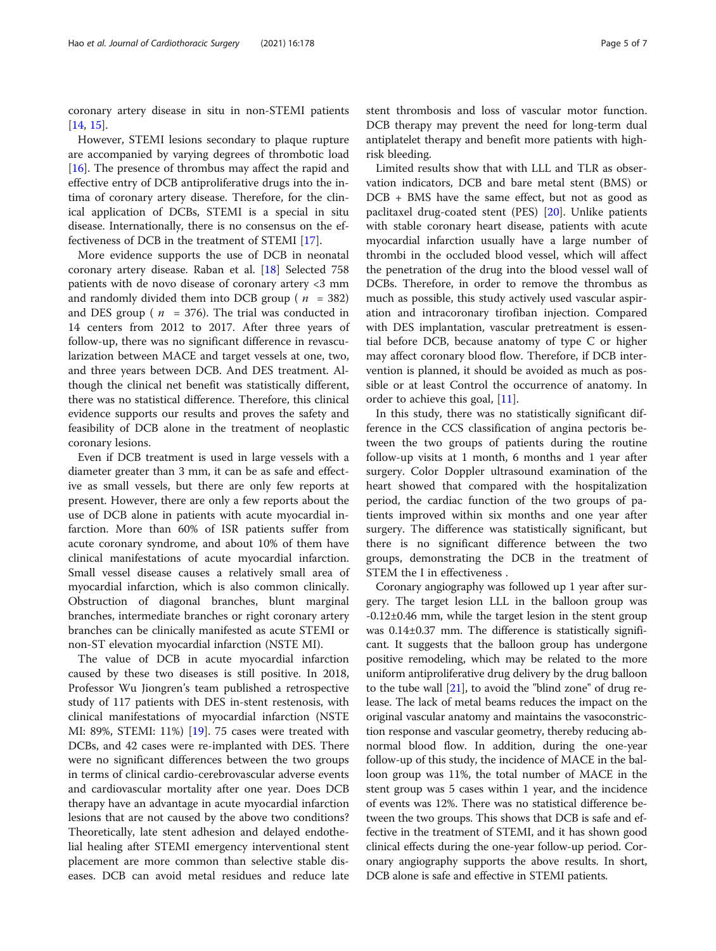coronary artery disease in situ in non-STEMI patients [[14,](#page-6-0) [15\]](#page-6-0).

However, STEMI lesions secondary to plaque rupture are accompanied by varying degrees of thrombotic load [[16\]](#page-6-0). The presence of thrombus may affect the rapid and effective entry of DCB antiproliferative drugs into the intima of coronary artery disease. Therefore, for the clinical application of DCBs, STEMI is a special in situ disease. Internationally, there is no consensus on the effectiveness of DCB in the treatment of STEMI [[17\]](#page-6-0).

More evidence supports the use of DCB in neonatal coronary artery disease. Raban et al. [\[18\]](#page-6-0) Selected 758 patients with de novo disease of coronary artery <3 mm and randomly divided them into DCB group ( $n = 382$ ) and DES group ( $n = 376$ ). The trial was conducted in 14 centers from 2012 to 2017. After three years of follow-up, there was no significant difference in revascularization between MACE and target vessels at one, two, and three years between DCB. And DES treatment. Although the clinical net benefit was statistically different, there was no statistical difference. Therefore, this clinical evidence supports our results and proves the safety and feasibility of DCB alone in the treatment of neoplastic coronary lesions.

Even if DCB treatment is used in large vessels with a diameter greater than 3 mm, it can be as safe and effective as small vessels, but there are only few reports at present. However, there are only a few reports about the use of DCB alone in patients with acute myocardial infarction. More than 60% of ISR patients suffer from acute coronary syndrome, and about 10% of them have clinical manifestations of acute myocardial infarction. Small vessel disease causes a relatively small area of myocardial infarction, which is also common clinically. Obstruction of diagonal branches, blunt marginal branches, intermediate branches or right coronary artery branches can be clinically manifested as acute STEMI or non-ST elevation myocardial infarction (NSTE MI).

The value of DCB in acute myocardial infarction caused by these two diseases is still positive. In 2018, Professor Wu Jiongren's team published a retrospective study of 117 patients with DES in-stent restenosis, with clinical manifestations of myocardial infarction (NSTE MI: 89%, STEMI: 11%) [[19\]](#page-6-0). 75 cases were treated with DCBs, and 42 cases were re-implanted with DES. There were no significant differences between the two groups in terms of clinical cardio-cerebrovascular adverse events and cardiovascular mortality after one year. Does DCB therapy have an advantage in acute myocardial infarction lesions that are not caused by the above two conditions? Theoretically, late stent adhesion and delayed endothelial healing after STEMI emergency interventional stent placement are more common than selective stable diseases. DCB can avoid metal residues and reduce late stent thrombosis and loss of vascular motor function. DCB therapy may prevent the need for long-term dual antiplatelet therapy and benefit more patients with highrisk bleeding.

Limited results show that with LLL and TLR as observation indicators, DCB and bare metal stent (BMS) or DCB + BMS have the same effect, but not as good as paclitaxel drug-coated stent (PES) [[20](#page-6-0)]. Unlike patients with stable coronary heart disease, patients with acute myocardial infarction usually have a large number of thrombi in the occluded blood vessel, which will affect the penetration of the drug into the blood vessel wall of DCBs. Therefore, in order to remove the thrombus as much as possible, this study actively used vascular aspiration and intracoronary tirofiban injection. Compared with DES implantation, vascular pretreatment is essential before DCB, because anatomy of type C or higher may affect coronary blood flow. Therefore, if DCB intervention is planned, it should be avoided as much as possible or at least Control the occurrence of anatomy. In order to achieve this goal, [[11\]](#page-6-0).

In this study, there was no statistically significant difference in the CCS classification of angina pectoris between the two groups of patients during the routine follow-up visits at 1 month, 6 months and 1 year after surgery. Color Doppler ultrasound examination of the heart showed that compared with the hospitalization period, the cardiac function of the two groups of patients improved within six months and one year after surgery. The difference was statistically significant, but there is no significant difference between the two groups, demonstrating the DCB in the treatment of STEM the I in effectiveness .

Coronary angiography was followed up 1 year after surgery. The target lesion LLL in the balloon group was -0.12±0.46 mm, while the target lesion in the stent group was 0.14±0.37 mm. The difference is statistically significant. It suggests that the balloon group has undergone positive remodeling, which may be related to the more uniform antiproliferative drug delivery by the drug balloon to the tube wall [\[21\]](#page-6-0), to avoid the "blind zone" of drug release. The lack of metal beams reduces the impact on the original vascular anatomy and maintains the vasoconstriction response and vascular geometry, thereby reducing abnormal blood flow. In addition, during the one-year follow-up of this study, the incidence of MACE in the balloon group was 11%, the total number of MACE in the stent group was 5 cases within 1 year, and the incidence of events was 12%. There was no statistical difference between the two groups. This shows that DCB is safe and effective in the treatment of STEMI, and it has shown good clinical effects during the one-year follow-up period. Coronary angiography supports the above results. In short, DCB alone is safe and effective in STEMI patients.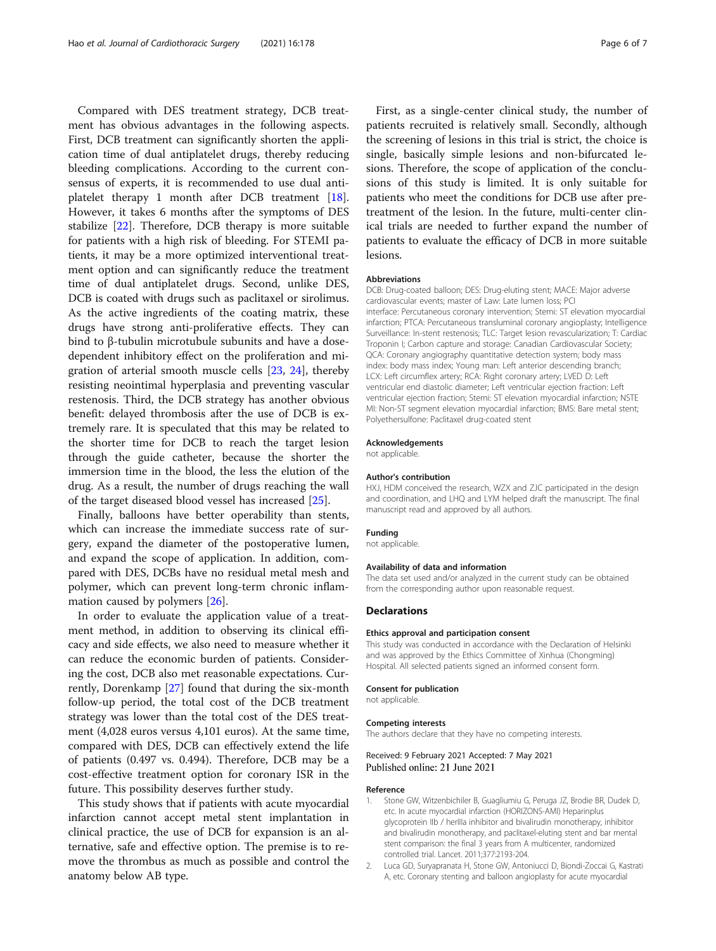<span id="page-5-0"></span>Compared with DES treatment strategy, DCB treatment has obvious advantages in the following aspects. First, DCB treatment can significantly shorten the application time of dual antiplatelet drugs, thereby reducing bleeding complications. According to the current consensus of experts, it is recommended to use dual antiplatelet therapy 1 month after DCB treatment [\[18](#page-6-0)]. However, it takes 6 months after the symptoms of DES stabilize [\[22\]](#page-6-0). Therefore, DCB therapy is more suitable for patients with a high risk of bleeding. For STEMI patients, it may be a more optimized interventional treatment option and can significantly reduce the treatment time of dual antiplatelet drugs. Second, unlike DES, DCB is coated with drugs such as paclitaxel or sirolimus. As the active ingredients of the coating matrix, these drugs have strong anti-proliferative effects. They can bind to β-tubulin microtubule subunits and have a dosedependent inhibitory effect on the proliferation and migration of arterial smooth muscle cells [\[23](#page-6-0), [24\]](#page-6-0), thereby resisting neointimal hyperplasia and preventing vascular restenosis. Third, the DCB strategy has another obvious benefit: delayed thrombosis after the use of DCB is extremely rare. It is speculated that this may be related to the shorter time for DCB to reach the target lesion through the guide catheter, because the shorter the immersion time in the blood, the less the elution of the drug. As a result, the number of drugs reaching the wall of the target diseased blood vessel has increased [[25\]](#page-6-0).

Finally, balloons have better operability than stents, which can increase the immediate success rate of surgery, expand the diameter of the postoperative lumen, and expand the scope of application. In addition, compared with DES, DCBs have no residual metal mesh and polymer, which can prevent long-term chronic inflammation caused by polymers [[26\]](#page-6-0).

In order to evaluate the application value of a treatment method, in addition to observing its clinical efficacy and side effects, we also need to measure whether it can reduce the economic burden of patients. Considering the cost, DCB also met reasonable expectations. Currently, Dorenkamp [\[27](#page-6-0)] found that during the six-month follow-up period, the total cost of the DCB treatment strategy was lower than the total cost of the DES treatment (4,028 euros versus 4,101 euros). At the same time, compared with DES, DCB can effectively extend the life of patients (0.497 vs. 0.494). Therefore, DCB may be a cost-effective treatment option for coronary ISR in the future. This possibility deserves further study.

This study shows that if patients with acute myocardial infarction cannot accept metal stent implantation in clinical practice, the use of DCB for expansion is an alternative, safe and effective option. The premise is to remove the thrombus as much as possible and control the anatomy below AB type.

First, as a single-center clinical study, the number of patients recruited is relatively small. Secondly, although the screening of lesions in this trial is strict, the choice is single, basically simple lesions and non-bifurcated lesions. Therefore, the scope of application of the conclusions of this study is limited. It is only suitable for patients who meet the conditions for DCB use after pretreatment of the lesion. In the future, multi-center clinical trials are needed to further expand the number of patients to evaluate the efficacy of DCB in more suitable lesions.

#### **Abbreviations**

DCB: Drug-coated balloon; DES: Drug-eluting stent; MACE: Major adverse cardiovascular events; master of Law: Late lumen loss; PCI interface: Percutaneous coronary intervention; Stemi: ST elevation myocardial infarction; PTCA: Percutaneous transluminal coronary angioplasty; Intelligence Surveillance: In-stent restenosis; TLC: Target lesion revascularization; T: Cardiac Troponin I; Carbon capture and storage: Canadian Cardiovascular Society; QCA: Coronary angiography quantitative detection system; body mass index: body mass index; Young man: Left anterior descending branch; LCX: Left circumflex artery; RCA: Right coronary artery; LVED D: Left ventricular end diastolic diameter; Left ventricular ejection fraction: Left ventricular ejection fraction; Stemi: ST elevation myocardial infarction; NSTE MI: Non-ST segment elevation myocardial infarction; BMS: Bare metal stent; Polyethersulfone: Paclitaxel drug-coated stent

#### Acknowledgements

not applicable.

#### Author's contribution

HXJ, HDM conceived the research, WZX and ZJC participated in the design and coordination, and LHQ and LYM helped draft the manuscript. The final manuscript read and approved by all authors.

#### Funding

not applicable.

#### Availability of data and information

The data set used and/or analyzed in the current study can be obtained from the corresponding author upon reasonable request.

#### **Declarations**

#### Ethics approval and participation consent

This study was conducted in accordance with the Declaration of Helsinki and was approved by the Ethics Committee of Xinhua (Chongming) Hospital. All selected patients signed an informed consent form.

#### Consent for publication

not applicable.

#### Competing interests

The authors declare that they have no competing interests.

#### Received: 9 February 2021 Accepted: 7 May 2021 Published online: 21 June 2021

#### Reference

- 1. Stone GW, Witzenbichiler B, Guagliumiu G, Peruga JZ, Brodie BR, Dudek D, etc. In acute myocardial infarction (HORIZONS-AMI) Heparinplus glycoprotein IIb / herIIIa inhibitor and bivalirudin monotherapy, inhibitor and bivalirudin monotherapy, and paclitaxel-eluting stent and bar mental stent comparison: the final 3 years from A multicenter, randomized controlled trial. Lancet. 2011;377:2193-204.
- 2. Luca GD, Suryapranata H, Stone GW, Antoniucci D, Biondi-Zoccai G, Kastrati A, etc. Coronary stenting and balloon angioplasty for acute myocardial